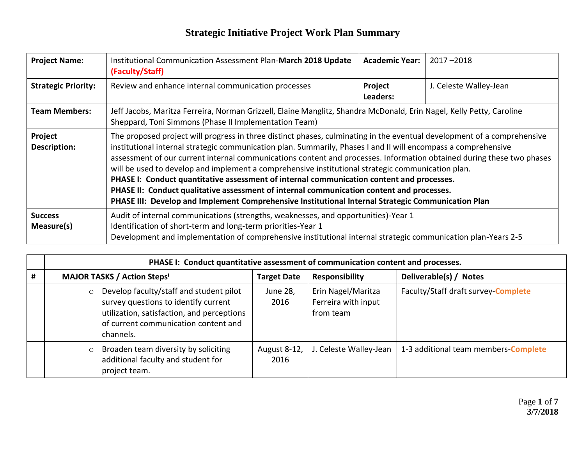| <b>Project Name:</b>         | Institutional Communication Assessment Plan-March 2018 Update<br>(Faculty/Staff)                                                                                                                                                                                                                                                                                                                                                                                                                                                                                                                                                                                                                                                                                        | <b>Academic Year:</b> | $2017 - 2018$          |  |  |  |
|------------------------------|-------------------------------------------------------------------------------------------------------------------------------------------------------------------------------------------------------------------------------------------------------------------------------------------------------------------------------------------------------------------------------------------------------------------------------------------------------------------------------------------------------------------------------------------------------------------------------------------------------------------------------------------------------------------------------------------------------------------------------------------------------------------------|-----------------------|------------------------|--|--|--|
| <b>Strategic Priority:</b>   | Review and enhance internal communication processes                                                                                                                                                                                                                                                                                                                                                                                                                                                                                                                                                                                                                                                                                                                     |                       | J. Celeste Walley-Jean |  |  |  |
| <b>Team Members:</b>         | Jeff Jacobs, Maritza Ferreira, Norman Grizzell, Elaine Manglitz, Shandra McDonald, Erin Nagel, Kelly Petty, Caroline<br>Sheppard, Toni Simmons (Phase II Implementation Team)                                                                                                                                                                                                                                                                                                                                                                                                                                                                                                                                                                                           |                       |                        |  |  |  |
| Project<br>Description:      | The proposed project will progress in three distinct phases, culminating in the eventual development of a comprehensive<br>institutional internal strategic communication plan. Summarily, Phases I and II will encompass a comprehensive<br>assessment of our current internal communications content and processes. Information obtained during these two phases<br>will be used to develop and implement a comprehensive institutional strategic communication plan.<br>PHASE I: Conduct quantitative assessment of internal communication content and processes.<br>PHASE II: Conduct qualitative assessment of internal communication content and processes.<br>PHASE III: Develop and Implement Comprehensive Institutional Internal Strategic Communication Plan |                       |                        |  |  |  |
| <b>Success</b><br>Measure(s) | Audit of internal communications (strengths, weaknesses, and opportunities)-Year 1<br>Identification of short-term and long-term priorities-Year 1<br>Development and implementation of comprehensive institutional internal strategic communication plan-Years 2-5                                                                                                                                                                                                                                                                                                                                                                                                                                                                                                     |                       |                        |  |  |  |

|   | PHASE I: Conduct quantitative assessment of communication content and processes.                                                                                                              |                      |                                                        |                                      |
|---|-----------------------------------------------------------------------------------------------------------------------------------------------------------------------------------------------|----------------------|--------------------------------------------------------|--------------------------------------|
| # | <b>MAJOR TASKS / Action Stepsi</b>                                                                                                                                                            | <b>Target Date</b>   | <b>Responsibility</b>                                  | Deliverable(s) / Notes               |
|   | Develop faculty/staff and student pilot<br>$\circ$<br>survey questions to identify current<br>utilization, satisfaction, and perceptions<br>of current communication content and<br>channels. | June 28,<br>2016     | Erin Nagel/Maritza<br>Ferreira with input<br>from team | Faculty/Staff draft survey-Complete  |
|   | Broaden team diversity by soliciting<br>$\circ$<br>additional faculty and student for<br>project team.                                                                                        | August 8-12,<br>2016 | J. Celeste Walley-Jean                                 | 1-3 additional team members-Complete |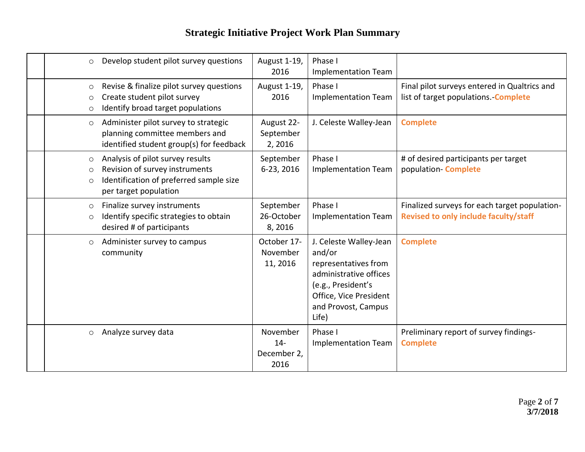| Develop student pilot survey questions<br>$\circ$                                                                                                                       | August 1-19,<br>2016                     | Phase I<br>Implementation Team                                                                                                                                     |                                                                                        |
|-------------------------------------------------------------------------------------------------------------------------------------------------------------------------|------------------------------------------|--------------------------------------------------------------------------------------------------------------------------------------------------------------------|----------------------------------------------------------------------------------------|
| Revise & finalize pilot survey questions<br>$\circ$<br>Create student pilot survey<br>$\circ$<br>Identify broad target populations<br>$\circ$                           | August 1-19,<br>2016                     | Phase I<br>Implementation Team                                                                                                                                     | Final pilot surveys entered in Qualtrics and<br>list of target populations. Complete   |
| Administer pilot survey to strategic<br>$\circ$<br>planning committee members and<br>identified student group(s) for feedback                                           | August 22-<br>September<br>2,2016        | J. Celeste Walley-Jean                                                                                                                                             | <b>Complete</b>                                                                        |
| Analysis of pilot survey results<br>$\circ$<br>Revision of survey instruments<br>$\circ$<br>Identification of preferred sample size<br>$\circ$<br>per target population | September<br>6-23, 2016                  | Phase I<br><b>Implementation Team</b>                                                                                                                              | # of desired participants per target<br>population- Complete                           |
| Finalize survey instruments<br>$\circ$<br>Identify specific strategies to obtain<br>$\circ$<br>desired # of participants                                                | September<br>26-October<br>8,2016        | Phase I<br>Implementation Team                                                                                                                                     | Finalized surveys for each target population-<br>Revised to only include faculty/staff |
| Administer survey to campus<br>$\circ$<br>community                                                                                                                     | October 17-<br>November<br>11, 2016      | J. Celeste Walley-Jean<br>and/or<br>representatives from<br>administrative offices<br>(e.g., President's<br>Office, Vice President<br>and Provost, Campus<br>Life) | <b>Complete</b>                                                                        |
| Analyze survey data<br>$\circ$                                                                                                                                          | November<br>$14-$<br>December 2,<br>2016 | Phase I<br><b>Implementation Team</b>                                                                                                                              | Preliminary report of survey findings-<br><b>Complete</b>                              |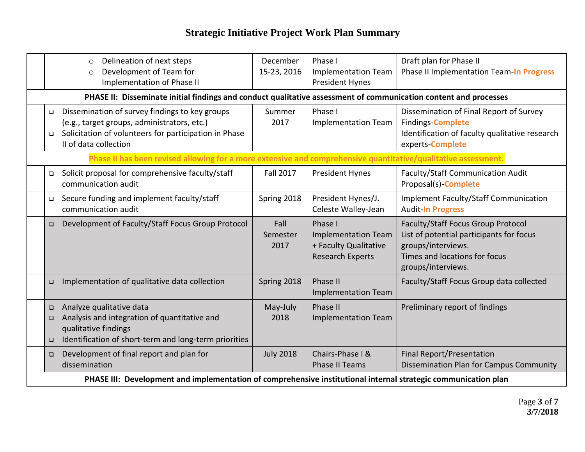|                                                                                                                  | Delineation of next steps<br>$\circ$<br>Development of Team for<br>$\circ$<br>Implementation of Phase II                                                                        | December<br>15-23, 2016  | Phase I<br><b>Implementation Team</b><br><b>President Hynes</b>                           | Draft plan for Phase II<br>Phase II Implementation Team-In Progress                                                                                                |  |
|------------------------------------------------------------------------------------------------------------------|---------------------------------------------------------------------------------------------------------------------------------------------------------------------------------|--------------------------|-------------------------------------------------------------------------------------------|--------------------------------------------------------------------------------------------------------------------------------------------------------------------|--|
| PHASE II: Disseminate initial findings and conduct qualitative assessment of communication content and processes |                                                                                                                                                                                 |                          |                                                                                           |                                                                                                                                                                    |  |
| $\Box$<br>$\Box$                                                                                                 | Dissemination of survey findings to key groups<br>(e.g., target groups, administrators, etc.)<br>Solicitation of volunteers for participation in Phase<br>II of data collection | Summer<br>2017           | Phase I<br><b>Implementation Team</b>                                                     | Dissemination of Final Report of Survey<br><b>Findings-Complete</b><br>Identification of faculty qualitative research<br>experts-Complete                          |  |
|                                                                                                                  | Phase II has been revised allowing for a more extensive and comprehensive quantitative/qualitative assessment.                                                                  |                          |                                                                                           |                                                                                                                                                                    |  |
| $\Box$                                                                                                           | Solicit proposal for comprehensive faculty/staff<br>communication audit                                                                                                         | <b>Fall 2017</b>         | <b>President Hynes</b>                                                                    | Faculty/Staff Communication Audit<br>Proposal(s)- <b>Complete</b>                                                                                                  |  |
| $\Box$                                                                                                           | Secure funding and implement faculty/staff<br>communication audit                                                                                                               | Spring 2018              | President Hynes/J.<br>Celeste Walley-Jean                                                 | Implement Faculty/Staff Communication<br><b>Audit-In Progress</b>                                                                                                  |  |
| $\Box$                                                                                                           | Development of Faculty/Staff Focus Group Protocol                                                                                                                               | Fall<br>Semester<br>2017 | Phase I<br><b>Implementation Team</b><br>+ Faculty Qualitative<br><b>Research Experts</b> | <b>Faculty/Staff Focus Group Protocol</b><br>List of potential participants for focus<br>groups/interviews.<br>Times and locations for focus<br>groups/interviews. |  |
| $\Box$                                                                                                           | Implementation of qualitative data collection                                                                                                                                   | Spring 2018              | Phase II<br><b>Implementation Team</b>                                                    | Faculty/Staff Focus Group data collected                                                                                                                           |  |
| $\Box$<br>$\Box$<br>$\Box$                                                                                       | Analyze qualitative data<br>Analysis and integration of quantitative and<br>qualitative findings<br>Identification of short-term and long-term priorities                       | May-July<br>2018         | Phase II<br><b>Implementation Team</b>                                                    | Preliminary report of findings                                                                                                                                     |  |
| $\Box$                                                                                                           | Development of final report and plan for<br>dissemination                                                                                                                       | <b>July 2018</b>         | Chairs-Phase I &<br><b>Phase II Teams</b>                                                 | Final Report/Presentation<br><b>Dissemination Plan for Campus Community</b>                                                                                        |  |
| PHASE III: Development and implementation of comprehensive institutional internal strategic communication plan   |                                                                                                                                                                                 |                          |                                                                                           |                                                                                                                                                                    |  |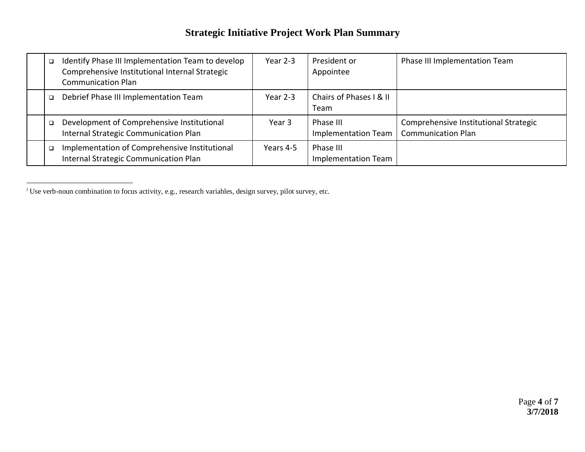| □ | Identify Phase III Implementation Team to develop<br>Comprehensive Institutional Internal Strategic<br><b>Communication Plan</b> | Year 2-3  | President or<br>Appointee               | Phase III Implementation Team                                      |
|---|----------------------------------------------------------------------------------------------------------------------------------|-----------|-----------------------------------------|--------------------------------------------------------------------|
| □ | Debrief Phase III Implementation Team                                                                                            | Year 2-3  | Chairs of Phases I & II<br>Team         |                                                                    |
|   | Development of Comprehensive Institutional<br>Internal Strategic Communication Plan                                              | Year 3    | Phase III<br><b>Implementation Team</b> | Comprehensive Institutional Strategic<br><b>Communication Plan</b> |
| □ | Implementation of Comprehensive Institutional<br>Internal Strategic Communication Plan                                           | Years 4-5 | Phase III<br><b>Implementation Team</b> |                                                                    |

 $\overline{a}$ 

<sup>&</sup>lt;sup>i</sup> Use verb-noun combination to focus activity, e.g., research variables, design survey, pilot survey, etc.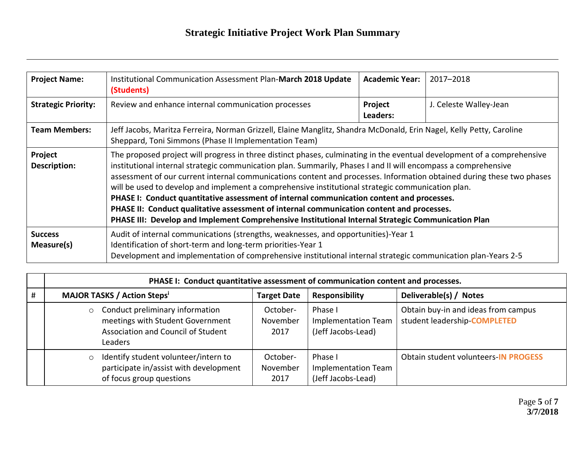$\overline{a}$ 

| <b>Project Name:</b>         | Institutional Communication Assessment Plan-March 2018 Update<br>(Students)                                                                                                                                                                                                                                                                                                                                                                                                                                                                                                                                                                                                                                                                                             |  | 2017-2018              |  |  |
|------------------------------|-------------------------------------------------------------------------------------------------------------------------------------------------------------------------------------------------------------------------------------------------------------------------------------------------------------------------------------------------------------------------------------------------------------------------------------------------------------------------------------------------------------------------------------------------------------------------------------------------------------------------------------------------------------------------------------------------------------------------------------------------------------------------|--|------------------------|--|--|
| <b>Strategic Priority:</b>   | Review and enhance internal communication processes                                                                                                                                                                                                                                                                                                                                                                                                                                                                                                                                                                                                                                                                                                                     |  | J. Celeste Walley-Jean |  |  |
| <b>Team Members:</b>         | Jeff Jacobs, Maritza Ferreira, Norman Grizzell, Elaine Manglitz, Shandra McDonald, Erin Nagel, Kelly Petty, Caroline<br>Sheppard, Toni Simmons (Phase II Implementation Team)                                                                                                                                                                                                                                                                                                                                                                                                                                                                                                                                                                                           |  |                        |  |  |
| Project<br>Description:      | The proposed project will progress in three distinct phases, culminating in the eventual development of a comprehensive<br>institutional internal strategic communication plan. Summarily, Phases I and II will encompass a comprehensive<br>assessment of our current internal communications content and processes. Information obtained during these two phases<br>will be used to develop and implement a comprehensive institutional strategic communication plan.<br>PHASE I: Conduct quantitative assessment of internal communication content and processes.<br>PHASE II: Conduct qualitative assessment of internal communication content and processes.<br>PHASE III: Develop and Implement Comprehensive Institutional Internal Strategic Communication Plan |  |                        |  |  |
| <b>Success</b><br>Measure(s) | Audit of internal communications (strengths, weaknesses, and opportunities)-Year 1<br>Identification of short-term and long-term priorities-Year 1<br>Development and implementation of comprehensive institutional internal strategic communication plan-Years 2-5                                                                                                                                                                                                                                                                                                                                                                                                                                                                                                     |  |                        |  |  |

|   | PHASE I: Conduct quantitative assessment of communication content and processes.                                            |                              |                                                             |                                                                     |  |
|---|-----------------------------------------------------------------------------------------------------------------------------|------------------------------|-------------------------------------------------------------|---------------------------------------------------------------------|--|
| # | <b>MAJOR TASKS / Action Stepsi</b>                                                                                          | <b>Target Date</b>           | <b>Responsibility</b>                                       | Deliverable(s) / Notes                                              |  |
|   | Conduct preliminary information<br>meetings with Student Government<br>Association and Council of Student<br><b>Leaders</b> | October-<br>November<br>2017 | Phase I<br>Implementation Team<br>(Jeff Jacobs-Lead)        | Obtain buy-in and ideas from campus<br>student leadership-COMPLETED |  |
|   | Identify student volunteer/intern to<br>participate in/assist with development<br>of focus group questions                  | October-<br>November<br>2017 | Phase I<br><b>Implementation Team</b><br>(Jeff Jacobs-Lead) | Obtain student volunteers-IN PROGESS                                |  |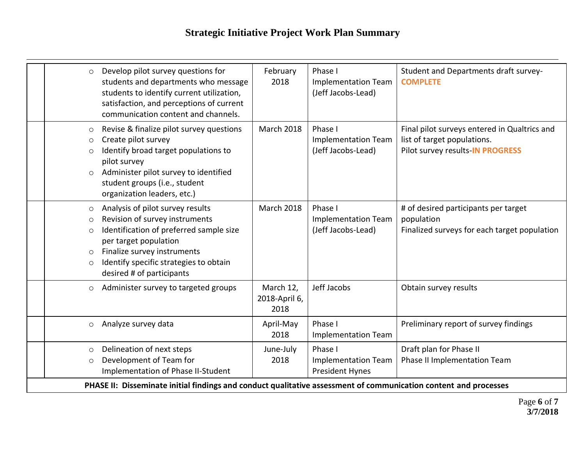| $\circ$                                             | Develop pilot survey questions for<br>students and departments who message<br>students to identify current utilization,<br>satisfaction, and perceptions of current<br>communication content and channels.                                   | February<br>2018                   | Phase I<br><b>Implementation Team</b><br>(Jeff Jacobs-Lead)     | Student and Departments draft survey-<br><b>COMPLETE</b>                                                        |
|-----------------------------------------------------|----------------------------------------------------------------------------------------------------------------------------------------------------------------------------------------------------------------------------------------------|------------------------------------|-----------------------------------------------------------------|-----------------------------------------------------------------------------------------------------------------|
| $\circ$<br>$\circ$<br>$\circ$<br>$\circ$            | Revise & finalize pilot survey questions<br>Create pilot survey<br>Identify broad target populations to<br>pilot survey<br>Administer pilot survey to identified<br>student groups (i.e., student<br>organization leaders, etc.)             | <b>March 2018</b>                  | Phase I<br><b>Implementation Team</b><br>(Jeff Jacobs-Lead)     | Final pilot surveys entered in Qualtrics and<br>list of target populations.<br>Pilot survey results-IN PROGRESS |
| $\circ$<br>$\circ$<br>$\circ$<br>$\circ$<br>$\circ$ | Analysis of pilot survey results<br>Revision of survey instruments<br>Identification of preferred sample size<br>per target population<br>Finalize survey instruments<br>Identify specific strategies to obtain<br>desired # of participants | <b>March 2018</b>                  | Phase I<br><b>Implementation Team</b><br>(Jeff Jacobs-Lead)     | # of desired participants per target<br>population<br>Finalized surveys for each target population              |
| $\circ$                                             | Administer survey to targeted groups                                                                                                                                                                                                         | March 12,<br>2018-April 6,<br>2018 | Jeff Jacobs                                                     | Obtain survey results                                                                                           |
| $\circ$                                             | Analyze survey data                                                                                                                                                                                                                          | April-May<br>2018                  | Phase I<br><b>Implementation Team</b>                           | Preliminary report of survey findings                                                                           |
| $\circ$<br>$\circ$                                  | Delineation of next steps<br>Development of Team for<br>Implementation of Phase II-Student                                                                                                                                                   | June-July<br>2018                  | Phase I<br><b>Implementation Team</b><br><b>President Hynes</b> | Draft plan for Phase II<br>Phase II Implementation Team                                                         |